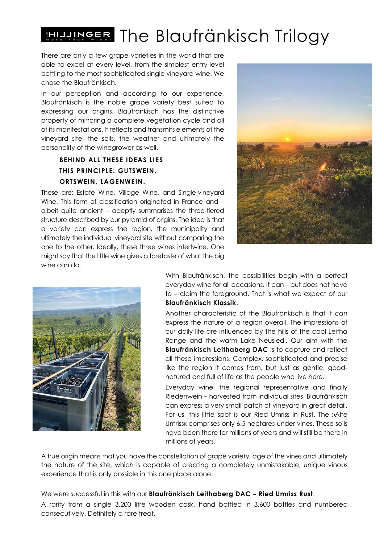## **ER The Blaufränkisch Trilogy**

There are only a few grape varieties in the world that are able to excel at every level, from the simplest entry-level bottling to the most sophisticated single vineyard wine. We chose the Blaufränkisch.

In our perception and according to our experience, Blaufränkisch is the noble grape variety best suited to expressing our origins. Blaufränkisch has the distinctive property of mirroring a complete vegetation cycle and all of its manifestations. It reflects and transmits elements of the vineyard site, the soils, the weather and ultimately the personality of the winegrower as well.

## **BEHIND ALL THESE IDEAS LIES THIS PRINCIPLE: GUTSWEIN, ORTSWEIN, LAGENWEIN.**

These are: Estate Wine, Village Wine, and Single-vineyard Wine. This form of classification originated in France and albeit quite ancient – adeptly summarises the three-tiered structure described by our pyramid of origins. The idea is that a variety can express the region, the municipality and ultimately the individual vineyard site without comparing the one to the other. Ideally, these three wines intertwine. One might say that the little wine gives a foretaste of what the big wine can do.





With Blaufränkisch, the possibilities begin with a perfect everyday wine for all occasions. It can – but does not have to – claim the foreground. That is what we expect of our **Blaufränkisch Klassik**.

Another characteristic of the Blaufränkisch is that it can express the nature of a region overall. The impressions of our daily life are influenced by the hills of the cool Leitha Range and the warm Lake Neusiedl. Our aim with the **Blaufränkisch Leithaberg DAC** is to capture and reflect all these impressions. Complex, sophisticated and precise like the region it comes from, but just as gentle, goodnatured and full of life as the people who live here.

Everyday wine, the regional representative and finally Riedenwein – harvested from individual sites. Blaufränkisch can express a very small patch of vineyard in great detail. For us, this little spot is our Ried Umriss in Rust. The »Alte Umriss« comprises only 6.5 hectares under vines. These soils have been there for millions of years and will still be there in millions of years.

A true origin means that you have the constellation of grape variety, age of the vines and ultimately the nature of the site, which is capable of creating a completely unmistakable, unique vinous experience that is only possible in this one place alone.

We were successful in this with our **Blaufränkisch Leithaberg DAC – Ried Umriss Rust**.

A rarity from a single 3,200 litre wooden cask, hand bottled in 3,600 bottles and numbered consecutively. Definitely a rare treat.